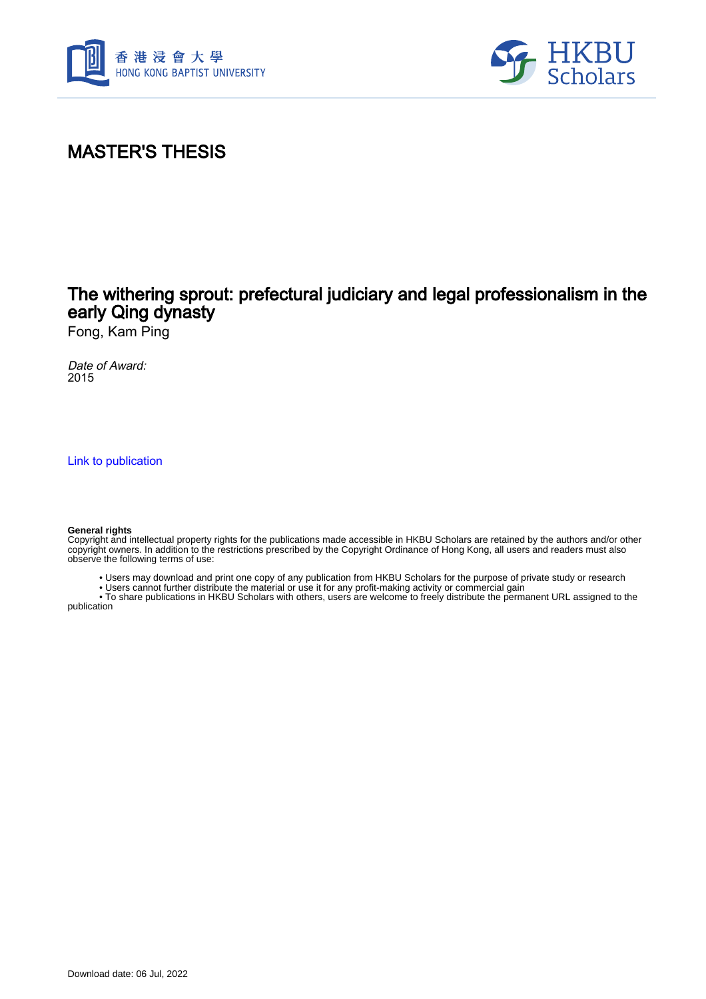



# MASTER'S THESIS

## The withering sprout: prefectural judiciary and legal professionalism in the early Qing dynasty

Fong, Kam Ping

Date of Award: 2015

[Link to publication](https://scholars.hkbu.edu.hk/en/studentTheses/62948842-2a83-4dad-9835-293f691e3666)

#### **General rights**

Copyright and intellectual property rights for the publications made accessible in HKBU Scholars are retained by the authors and/or other copyright owners. In addition to the restrictions prescribed by the Copyright Ordinance of Hong Kong, all users and readers must also observe the following terms of use:

• Users may download and print one copy of any publication from HKBU Scholars for the purpose of private study or research

• Users cannot further distribute the material or use it for any profit-making activity or commercial gain

 • To share publications in HKBU Scholars with others, users are welcome to freely distribute the permanent URL assigned to the publication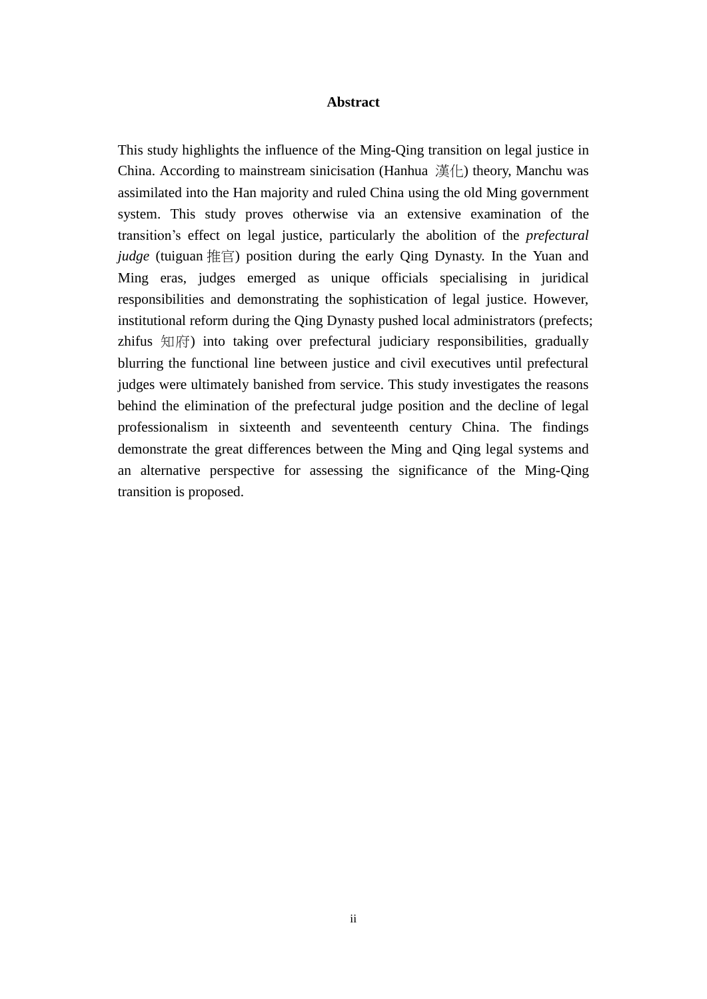#### **Abstract**

<span id="page-1-0"></span>This study highlights the influence of the Ming-Qing transition on legal justice in China. According to mainstream sinicisation (Hanhua 漢化) theory, Manchu was assimilated into the Han majority and ruled China using the old Ming government system. This study proves otherwise via an extensive examination of the transition's effect on legal justice, particularly the abolition of the *prefectural judge* (tuiguan 推官) position during the early Qing Dynasty. In the Yuan and Ming eras, judges emerged as unique officials specialising in juridical responsibilities and demonstrating the sophistication of legal justice. However, institutional reform during the Qing Dynasty pushed local administrators (prefects; zhifus 知府) into taking over prefectural judiciary responsibilities, gradually blurring the functional line between justice and civil executives until prefectural judges were ultimately banished from service. This study investigates the reasons behind the elimination of the prefectural judge position and the decline of legal professionalism in sixteenth and seventeenth century China. The findings demonstrate the great differences between the Ming and Qing legal systems and an alternative perspective for assessing the significance of the Ming-Qing transition is proposed.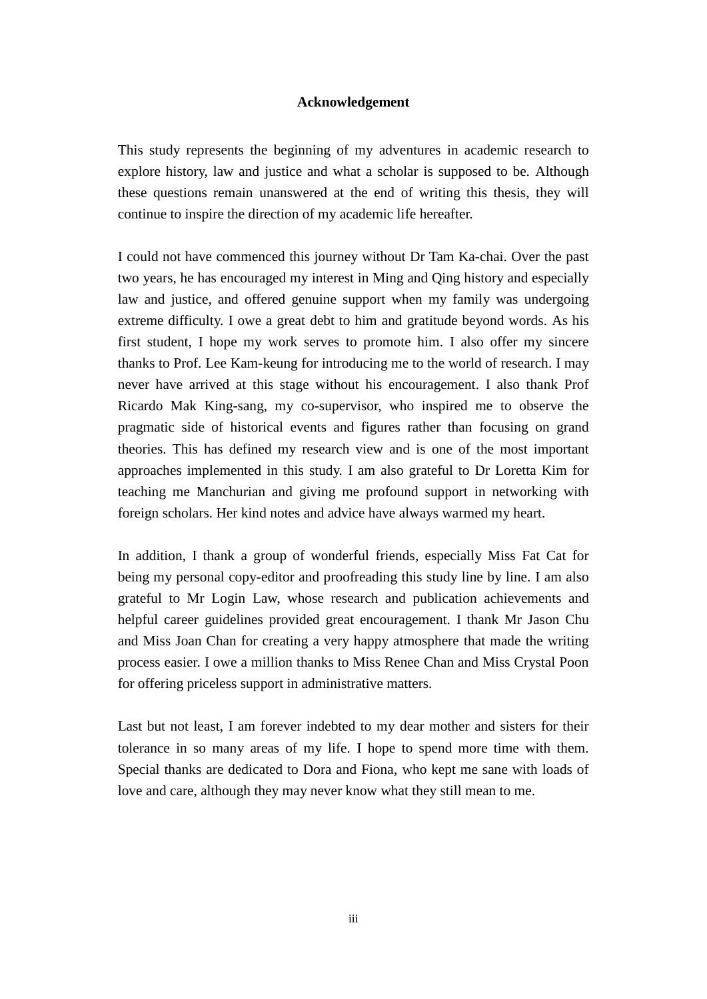### **Acknowledgement**

<span id="page-2-0"></span>This study represents the beginning of my adventures in academic research to explore history, law and justice and what a scholar is supposed to be. Although these questions remain unanswered at the end of writing this thesis, they will continue to inspire the direction of my academic life hereafter.

I could not have commenced this journey without Dr Tam Ka-chai. Over the past two years, he has encouraged my interest in Ming and Qing history and especially law and justice, and offered genuine support when my family was undergoing extreme difficulty. I owe a great debt to him and gratitude beyond words. As his first student, I hope my work serves to promote him. I also offer my sincere thanks to Prof. Lee Kam-keung for introducing me to the world of research. I may never have arrived at this stage without his encouragement. I also thank Prof Ricardo Mak King-sang, my co-supervisor, who inspired me to observe the pragmatic side of historical events and figures rather than focusing on grand theories. This has defined my research view and is one of the most important approaches implemented in this study. I am also grateful to Dr Loretta Kim for teaching me Manchurian and giving me profound support in networking with foreign scholars. Her kind notes and advice have always warmed my heart.

In addition, I thank a group of wonderful friends, especially Miss Fat Cat for being my personal copy-editor and proofreading this study line by line. I am also grateful to Mr Login Law, whose research and publication achievements and helpful career guidelines provided great encouragement. I thank Mr Jason Chu and Miss Joan Chan for creating a very happy atmosphere that made the writing process easier. I owe a million thanks to Miss Renee Chan and Miss Crystal Poon for offering priceless support in administrative matters.

Last but not least, I am forever indebted to my dear mother and sisters for their tolerance in so many areas of my life. I hope to spend more time with them. Special thanks are dedicated to Dora and Fiona, who kept me sane with loads of love and care, although they may never know what they still mean to me.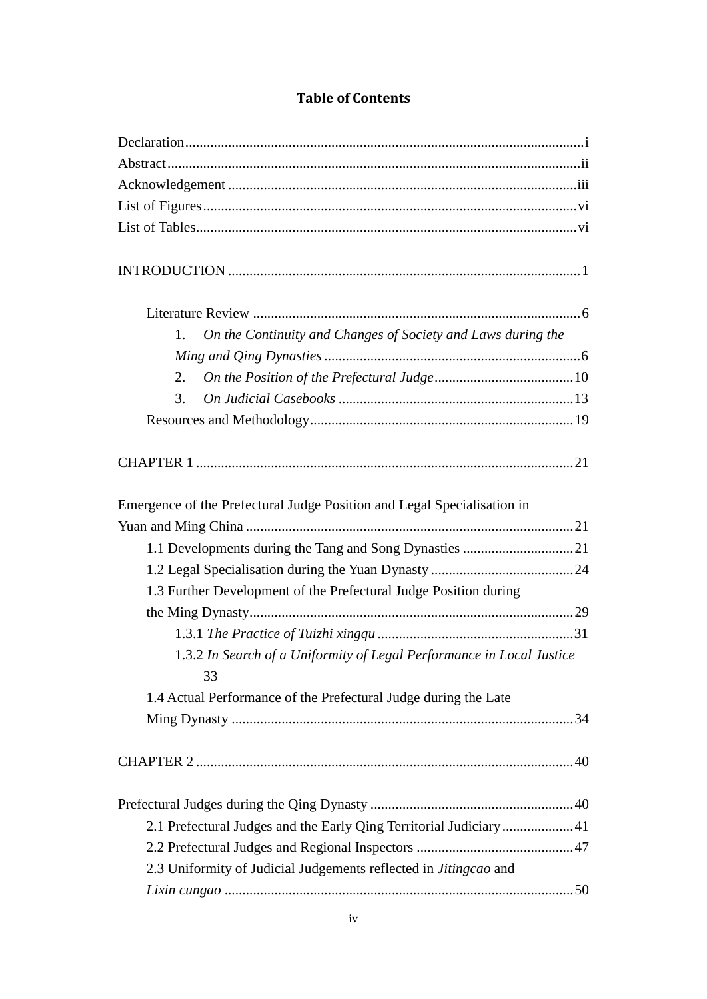### **Table of Contents**

| On the Continuity and Changes of Society and Laws during the<br>1.      |  |
|-------------------------------------------------------------------------|--|
|                                                                         |  |
| 2.                                                                      |  |
| 3.                                                                      |  |
|                                                                         |  |
|                                                                         |  |
|                                                                         |  |
| Emergence of the Prefectural Judge Position and Legal Specialisation in |  |
|                                                                         |  |
|                                                                         |  |
|                                                                         |  |
| 1.3 Further Development of the Prefectural Judge Position during        |  |
|                                                                         |  |
|                                                                         |  |
| 1.3.2 In Search of a Uniformity of Legal Performance in Local Justice   |  |
| 33                                                                      |  |
| 1.4 Actual Performance of the Prefectural Judge during the Late         |  |
|                                                                         |  |
|                                                                         |  |
|                                                                         |  |
| 2.1 Prefectural Judges and the Early Qing Territorial Judiciary41       |  |
|                                                                         |  |
| 2.3 Uniformity of Judicial Judgements reflected in Jitingcao and        |  |
|                                                                         |  |